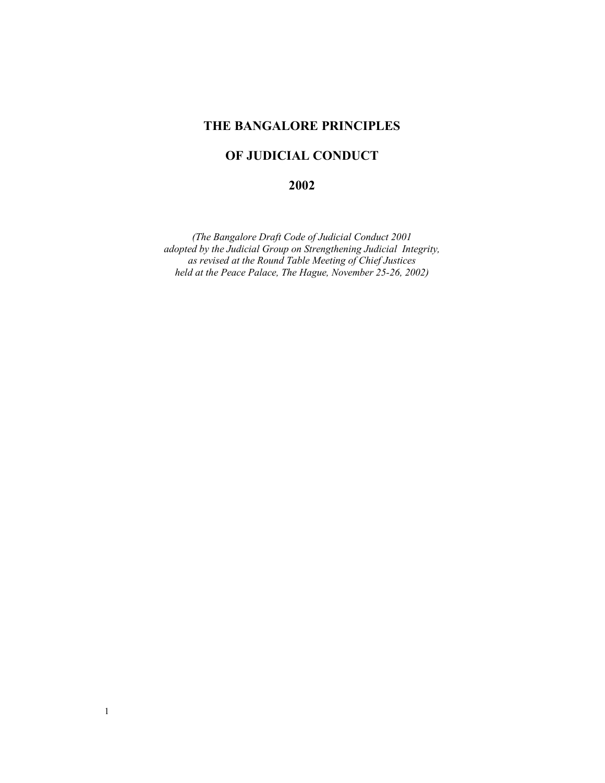# **THE BANGALORE PRINCIPLES**

# **OF JUDICIAL CONDUCT**

**2002**

*(The Bangalore Draft Code of Judicial Conduct 2001 adopted by the Judicial Group on Strengthening Judicial Integrity, as revised at the Round Table Meeting of Chief Justices held at the Peace Palace, The Hague, November 25-26, 2002)*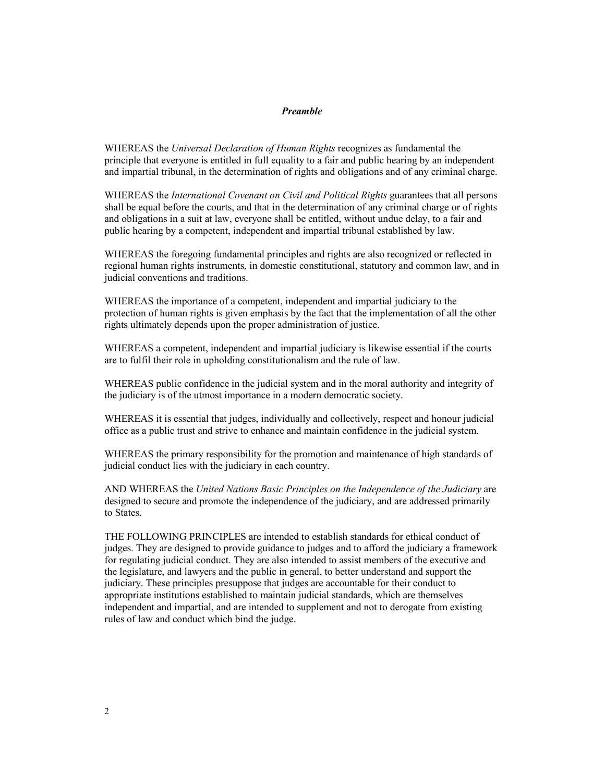#### *Preamble*

WHEREAS the *Universal Declaration of Human Rights* recognizes as fundamental the principle that everyone is entitled in full equality to a fair and public hearing by an independent and impartial tribunal, in the determination of rights and obligations and of any criminal charge.

WHEREAS the *International Covenant on Civil and Political Rights* guarantees that all persons shall be equal before the courts, and that in the determination of any criminal charge or of rights and obligations in a suit at law, everyone shall be entitled, without undue delay, to a fair and public hearing by a competent, independent and impartial tribunal established by law.

WHEREAS the foregoing fundamental principles and rights are also recognized or reflected in regional human rights instruments, in domestic constitutional, statutory and common law, and in judicial conventions and traditions.

WHEREAS the importance of a competent, independent and impartial judiciary to the protection of human rights is given emphasis by the fact that the implementation of all the other rights ultimately depends upon the proper administration of justice.

WHEREAS a competent, independent and impartial judiciary is likewise essential if the courts are to fulfil their role in upholding constitutionalism and the rule of law.

WHEREAS public confidence in the judicial system and in the moral authority and integrity of the judiciary is of the utmost importance in a modern democratic society.

WHEREAS it is essential that judges, individually and collectively, respect and honour judicial office as a public trust and strive to enhance and maintain confidence in the judicial system.

WHEREAS the primary responsibility for the promotion and maintenance of high standards of judicial conduct lies with the judiciary in each country.

AND WHEREAS the *United Nations Basic Principles on the Independence of the Judiciary* are designed to secure and promote the independence of the judiciary, and are addressed primarily to States.

THE FOLLOWING PRINCIPLES are intended to establish standards for ethical conduct of judges. They are designed to provide guidance to judges and to afford the judiciary a framework for regulating judicial conduct. They are also intended to assist members of the executive and the legislature, and lawyers and the public in general, to better understand and support the judiciary. These principles presuppose that judges are accountable for their conduct to appropriate institutions established to maintain judicial standards, which are themselves independent and impartial, and are intended to supplement and not to derogate from existing rules of law and conduct which bind the judge.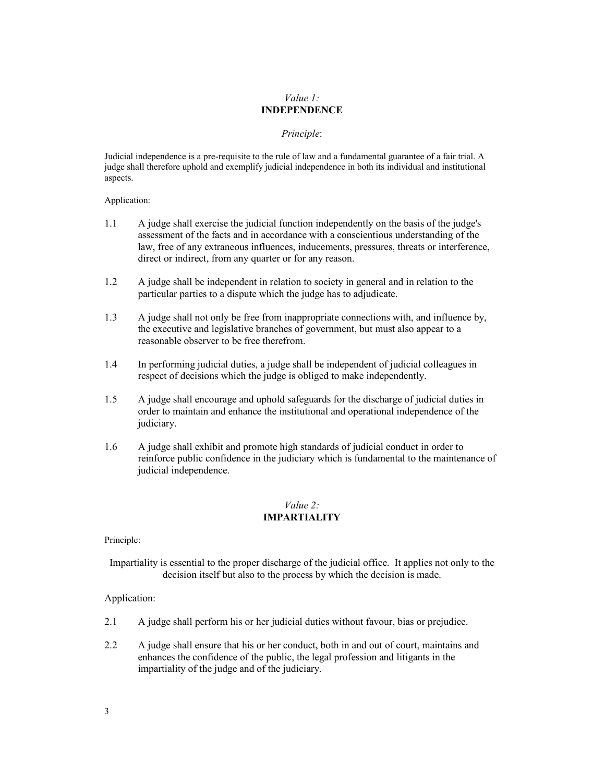# *Value 1:*  **INDEPENDENCE**

#### *Principle*:

Judicial independence is a pre-requisite to the rule of law and a fundamental guarantee of a fair trial. A judge shall therefore uphold and exemplify judicial independence in both its individual and institutional aspects.

Application:

- 1.1 A judge shall exercise the judicial function independently on the basis of the judge's assessment of the facts and in accordance with a conscientious understanding of the law, free of any extraneous influences, inducements, pressures, threats or interference, direct or indirect, from any quarter or for any reason.
- 1.2 A judge shall be independent in relation to society in general and in relation to the particular parties to a dispute which the judge has to adjudicate.
- 1.3 A judge shall not only be free from inappropriate connections with, and influence by, the executive and legislative branches of government, but must also appear to a reasonable observer to be free therefrom.
- 1.4 In performing judicial duties, a judge shall be independent of judicial colleagues in respect of decisions which the judge is obliged to make independently.
- 1.5 A judge shall encourage and uphold safeguards for the discharge of judicial duties in order to maintain and enhance the institutional and operational independence of the judiciary.
- 1.6 A judge shall exhibit and promote high standards of judicial conduct in order to reinforce public confidence in the judiciary which is fundamental to the maintenance of judicial independence.

# *Value 2:*  **IMPARTIALITY**

Principle:

Impartiality is essential to the proper discharge of the judicial office. It applies not only to the decision itself but also to the process by which the decision is made.

Application:

- 2.1 A judge shall perform his or her judicial duties without favour, bias or prejudice.
- 2.2 A judge shall ensure that his or her conduct, both in and out of court, maintains and enhances the confidence of the public, the legal profession and litigants in the impartiality of the judge and of the judiciary.

3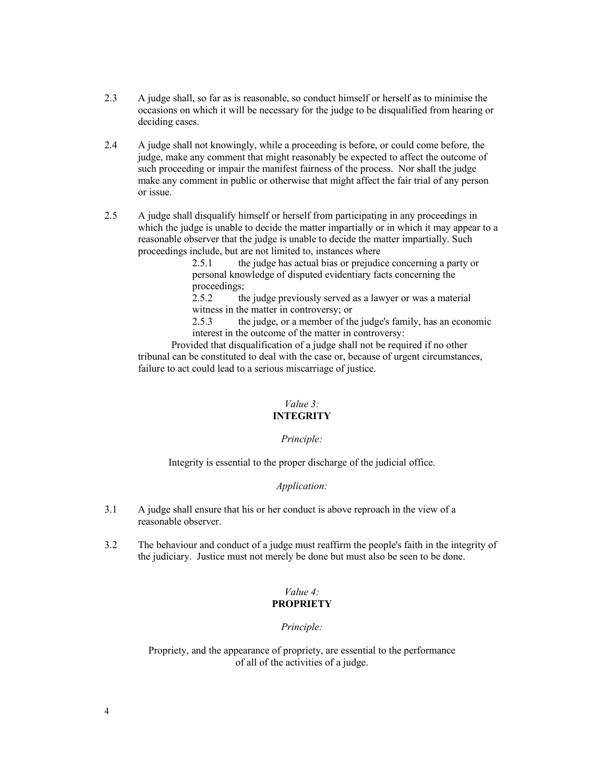- 2.3 A judge shall, so far as is reasonable, so conduct himself or herself as to minimise the occasions on which it will be necessary for the judge to be disqualified from hearing or deciding cases.
- 2.4 A judge shall not knowingly, while a proceeding is before, or could come before, the judge, make any comment that might reasonably be expected to affect the outcome of such proceeding or impair the manifest fairness of the process. Nor shall the judge make any comment in public or otherwise that might affect the fair trial of any person or issue.
- 2.5 A judge shall disqualify himself or herself from participating in any proceedings in which the judge is unable to decide the matter impartially or in which it may appear to a reasonable observer that the judge is unable to decide the matter impartially. Such proceedings include, but are not limited to, instances where

 2.5.1 the judge has actual bias or prejudice concerning a party or personal knowledge of disputed evidentiary facts concerning the proceedings;

 2.5.2 the judge previously served as a lawyer or was a material witness in the matter in controversy; or

 2.5.3 the judge, or a member of the judge's family, has an economic interest in the outcome of the matter in controversy:

 Provided that disqualification of a judge shall not be required if no other tribunal can be constituted to deal with the case or, because of urgent circumstances, failure to act could lead to a serious miscarriage of justice.

# *Value 3:*  **INTEGRITY**

## *Principle:*

Integrity is essential to the proper discharge of the judicial office.

## *Application:*

- 3.1 A judge shall ensure that his or her conduct is above reproach in the view of a reasonable observer.
- 3.2 The behaviour and conduct of a judge must reaffirm the people's faith in the integrity of the judiciary. Justice must not merely be done but must also be seen to be done.

# *Value 4:*  **PROPRIETY**

## *Principle:*

Propriety, and the appearance of propriety, are essential to the performance of all of the activities of a judge.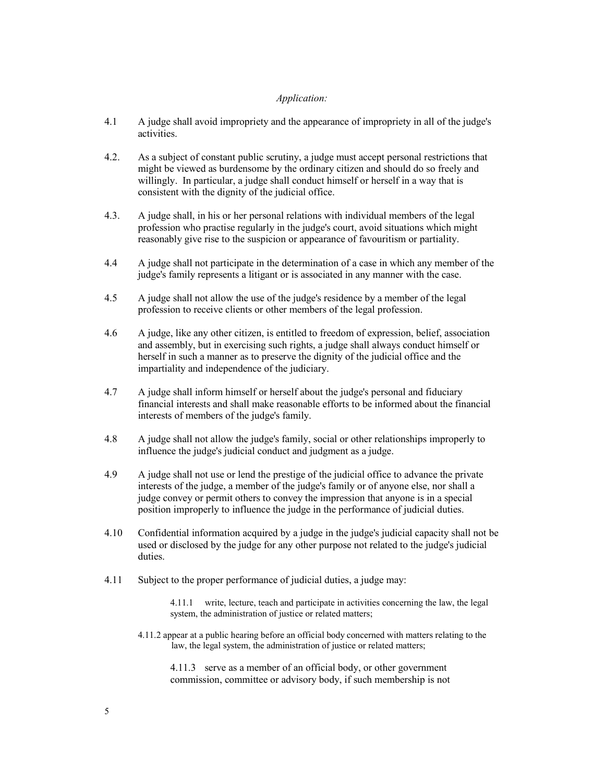## *Application:*

- 4.1 A judge shall avoid impropriety and the appearance of impropriety in all of the judge's activities.
- 4.2. As a subject of constant public scrutiny, a judge must accept personal restrictions that might be viewed as burdensome by the ordinary citizen and should do so freely and willingly. In particular, a judge shall conduct himself or herself in a way that is consistent with the dignity of the judicial office.
- 4.3. A judge shall, in his or her personal relations with individual members of the legal profession who practise regularly in the judge's court, avoid situations which might reasonably give rise to the suspicion or appearance of favouritism or partiality.
- 4.4 A judge shall not participate in the determination of a case in which any member of the judge's family represents a litigant or is associated in any manner with the case.
- 4.5 A judge shall not allow the use of the judge's residence by a member of the legal profession to receive clients or other members of the legal profession.
- 4.6 A judge, like any other citizen, is entitled to freedom of expression, belief, association and assembly, but in exercising such rights, a judge shall always conduct himself or herself in such a manner as to preserve the dignity of the judicial office and the impartiality and independence of the judiciary.
- 4.7 A judge shall inform himself or herself about the judge's personal and fiduciary financial interests and shall make reasonable efforts to be informed about the financial interests of members of the judge's family.
- 4.8 A judge shall not allow the judge's family, social or other relationships improperly to influence the judge's judicial conduct and judgment as a judge.
- 4.9 A judge shall not use or lend the prestige of the judicial office to advance the private interests of the judge, a member of the judge's family or of anyone else, nor shall a judge convey or permit others to convey the impression that anyone is in a special position improperly to influence the judge in the performance of judicial duties.
- 4.10 Confidential information acquired by a judge in the judge's judicial capacity shall not be used or disclosed by the judge for any other purpose not related to the judge's judicial duties.
- 4.11 Subject to the proper performance of judicial duties, a judge may:

 4.11.1 write, lecture, teach and participate in activities concerning the law, the legal system, the administration of justice or related matters;

4.11.2 appear at a public hearing before an official body concerned with matters relating to the law, the legal system, the administration of justice or related matters;

 4.11.3 serve as a member of an official body, or other government commission, committee or advisory body, if such membership is not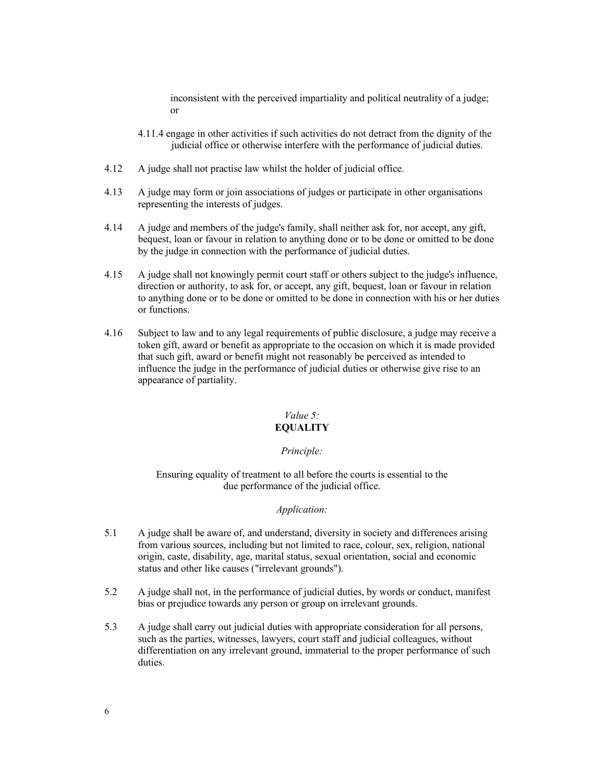inconsistent with the perceived impartiality and political neutrality of a judge; or

- 4.11.4 engage in other activities if such activities do not detract from the dignity of the judicial office or otherwise interfere with the performance of judicial duties.
- 4.12 A judge shall not practise law whilst the holder of judicial office.
- 4.13 A judge may form or join associations of judges or participate in other organisations representing the interests of judges.
- 4.14 A judge and members of the judge's family, shall neither ask for, nor accept, any gift, bequest, loan or favour in relation to anything done or to be done or omitted to be done by the judge in connection with the performance of judicial duties.
- 4.15 A judge shall not knowingly permit court staff or others subject to the judge's influence, direction or authority, to ask for, or accept, any gift, bequest, loan or favour in relation to anything done or to be done or omitted to be done in connection with his or her duties or functions.
- 4.16 Subject to law and to any legal requirements of public disclosure, a judge may receive a token gift, award or benefit as appropriate to the occasion on which it is made provided that such gift, award or benefit might not reasonably be perceived as intended to influence the judge in the performance of judicial duties or otherwise give rise to an appearance of partiality.

# *Value 5:*  **EQUALITY**

#### *Principle:*

#### Ensuring equality of treatment to all before the courts is essential to the due performance of the judicial office.

#### *Application:*

- 5.1 A judge shall be aware of, and understand, diversity in society and differences arising from various sources, including but not limited to race, colour, sex, religion, national origin, caste, disability, age, marital status, sexual orientation, social and economic status and other like causes ("irrelevant grounds").
- 5.2 A judge shall not, in the performance of judicial duties, by words or conduct, manifest bias or prejudice towards any person or group on irrelevant grounds.
- 5.3 A judge shall carry out judicial duties with appropriate consideration for all persons, such as the parties, witnesses, lawyers, court staff and judicial colleagues, without differentiation on any irrelevant ground, immaterial to the proper performance of such duties.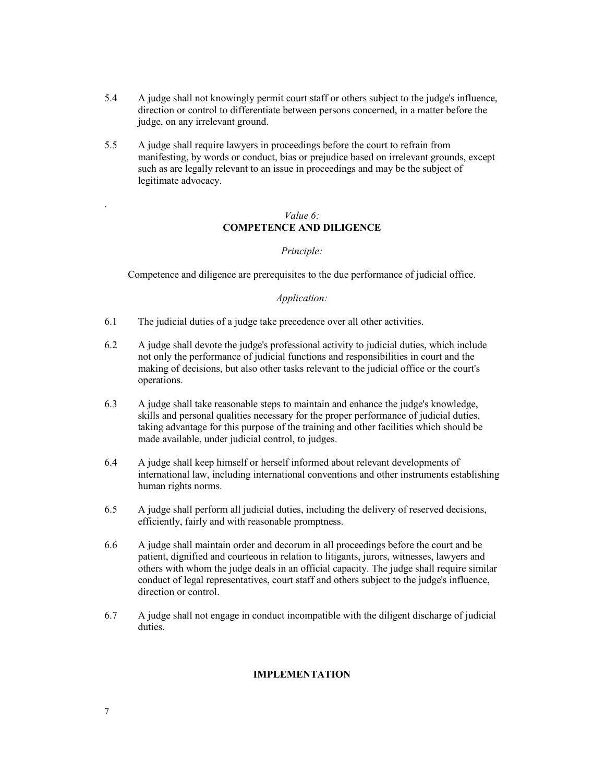- 5.4 A judge shall not knowingly permit court staff or others subject to the judge's influence, direction or control to differentiate between persons concerned, in a matter before the judge, on any irrelevant ground.
- 5.5 A judge shall require lawyers in proceedings before the court to refrain from manifesting, by words or conduct, bias or prejudice based on irrelevant grounds, except such as are legally relevant to an issue in proceedings and may be the subject of legitimate advocacy.

# *Value 6:*  **COMPETENCE AND DILIGENCE**

## *Principle:*

Competence and diligence are prerequisites to the due performance of judicial office.

#### *Application:*

- 6.1 The judicial duties of a judge take precedence over all other activities.
- 6.2 A judge shall devote the judge's professional activity to judicial duties, which include not only the performance of judicial functions and responsibilities in court and the making of decisions, but also other tasks relevant to the judicial office or the court's operations.
- 6.3 A judge shall take reasonable steps to maintain and enhance the judge's knowledge, skills and personal qualities necessary for the proper performance of judicial duties, taking advantage for this purpose of the training and other facilities which should be made available, under judicial control, to judges.
- 6.4 A judge shall keep himself or herself informed about relevant developments of international law, including international conventions and other instruments establishing human rights norms.
- 6.5 A judge shall perform all judicial duties, including the delivery of reserved decisions, efficiently, fairly and with reasonable promptness.
- 6.6 A judge shall maintain order and decorum in all proceedings before the court and be patient, dignified and courteous in relation to litigants, jurors, witnesses, lawyers and others with whom the judge deals in an official capacity. The judge shall require similar conduct of legal representatives, court staff and others subject to the judge's influence, direction or control.
- 6.7 A judge shall not engage in conduct incompatible with the diligent discharge of judicial duties.

## **IMPLEMENTATION**

.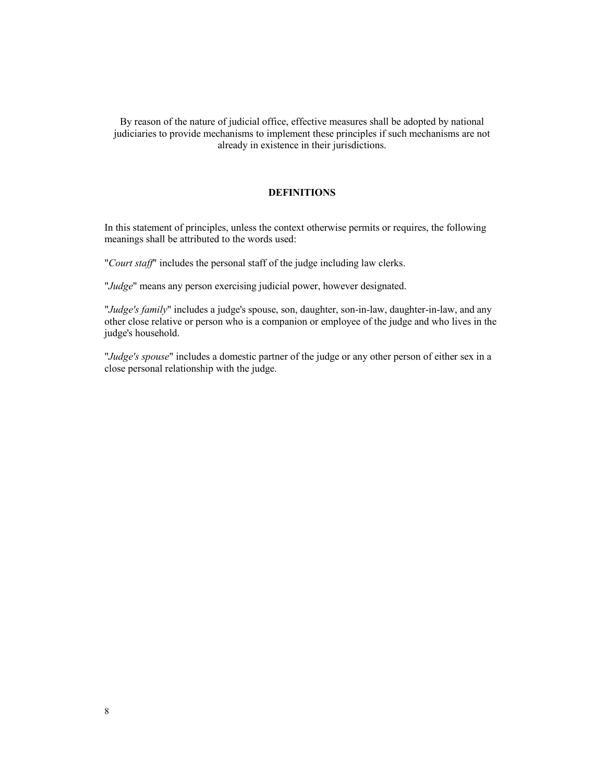By reason of the nature of judicial office, effective measures shall be adopted by national judiciaries to provide mechanisms to implement these principles if such mechanisms are not already in existence in their jurisdictions.

# **DEFINITIONS**

In this statement of principles, unless the context otherwise permits or requires, the following meanings shall be attributed to the words used:

"*Court staff*" includes the personal staff of the judge including law clerks.

"*Judge*" means any person exercising judicial power, however designated.

"*Judge's family*" includes a judge's spouse, son, daughter, son-in-law, daughter-in-law, and any other close relative or person who is a companion or employee of the judge and who lives in the judge's household.

"*Judge's spouse*" includes a domestic partner of the judge or any other person of either sex in a close personal relationship with the judge.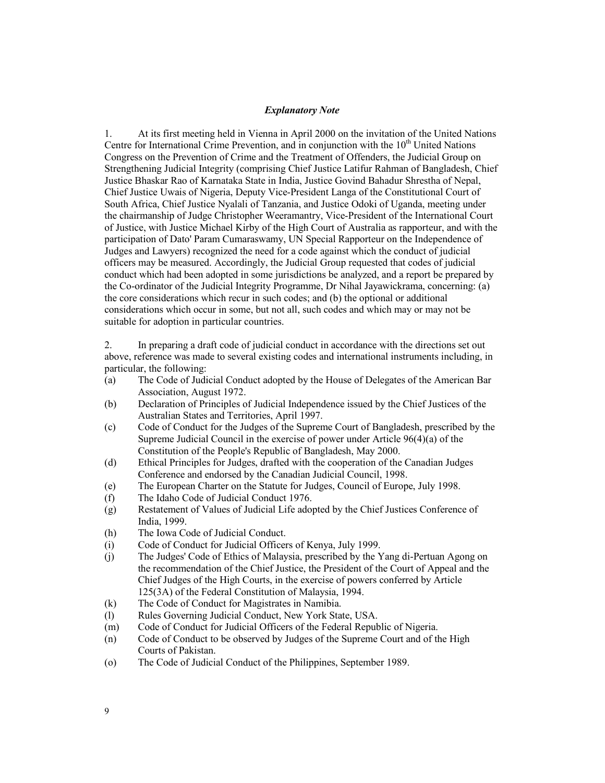#### *Explanatory Note*

1. At its first meeting held in Vienna in April 2000 on the invitation of the United Nations Centre for International Crime Prevention, and in conjunction with the  $10<sup>th</sup>$  United Nations Congress on the Prevention of Crime and the Treatment of Offenders, the Judicial Group on Strengthening Judicial Integrity (comprising Chief Justice Latifur Rahman of Bangladesh, Chief Justice Bhaskar Rao of Karnataka State in India, Justice Govind Bahadur Shrestha of Nepal, Chief Justice Uwais of Nigeria, Deputy Vice-President Langa of the Constitutional Court of South Africa, Chief Justice Nyalali of Tanzania, and Justice Odoki of Uganda, meeting under the chairmanship of Judge Christopher Weeramantry, Vice-President of the International Court of Justice, with Justice Michael Kirby of the High Court of Australia as rapporteur, and with the participation of Dato' Param Cumaraswamy, UN Special Rapporteur on the Independence of Judges and Lawyers) recognized the need for a code against which the conduct of judicial officers may be measured. Accordingly, the Judicial Group requested that codes of judicial conduct which had been adopted in some jurisdictions be analyzed, and a report be prepared by the Co-ordinator of the Judicial Integrity Programme, Dr Nihal Jayawickrama, concerning: (a) the core considerations which recur in such codes; and (b) the optional or additional considerations which occur in some, but not all, such codes and which may or may not be suitable for adoption in particular countries.

2. In preparing a draft code of judicial conduct in accordance with the directions set out above, reference was made to several existing codes and international instruments including, in particular, the following:

- (a) The Code of Judicial Conduct adopted by the House of Delegates of the American Bar Association, August 1972.
- (b) Declaration of Principles of Judicial Independence issued by the Chief Justices of the Australian States and Territories, April 1997.
- (c) Code of Conduct for the Judges of the Supreme Court of Bangladesh, prescribed by the Supreme Judicial Council in the exercise of power under Article 96(4)(a) of the Constitution of the People's Republic of Bangladesh, May 2000.
- (d) Ethical Principles for Judges, drafted with the cooperation of the Canadian Judges Conference and endorsed by the Canadian Judicial Council, 1998.
- (e) The European Charter on the Statute for Judges, Council of Europe, July 1998.
- (f) The Idaho Code of Judicial Conduct 1976.
- (g) Restatement of Values of Judicial Life adopted by the Chief Justices Conference of India, 1999.
- (h) The Iowa Code of Judicial Conduct.
- (i) Code of Conduct for Judicial Officers of Kenya, July 1999.
- (j) The Judges' Code of Ethics of Malaysia, prescribed by the Yang di-Pertuan Agong on the recommendation of the Chief Justice, the President of the Court of Appeal and the Chief Judges of the High Courts, in the exercise of powers conferred by Article 125(3A) of the Federal Constitution of Malaysia, 1994.
- (k) The Code of Conduct for Magistrates in Namibia.
- (l) Rules Governing Judicial Conduct, New York State, USA.
- (m) Code of Conduct for Judicial Officers of the Federal Republic of Nigeria.
- (n) Code of Conduct to be observed by Judges of the Supreme Court and of the High Courts of Pakistan.
- (o) The Code of Judicial Conduct of the Philippines, September 1989.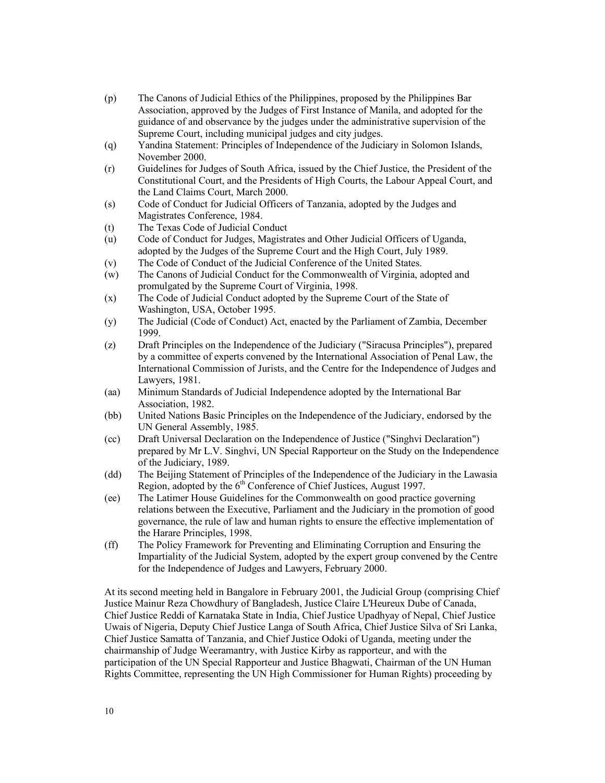- (p) The Canons of Judicial Ethics of the Philippines, proposed by the Philippines Bar Association, approved by the Judges of First Instance of Manila, and adopted for the guidance of and observance by the judges under the administrative supervision of the Supreme Court, including municipal judges and city judges.
- (q) Yandina Statement: Principles of Independence of the Judiciary in Solomon Islands, November 2000.
- (r) Guidelines for Judges of South Africa, issued by the Chief Justice, the President of the Constitutional Court, and the Presidents of High Courts, the Labour Appeal Court, and the Land Claims Court, March 2000.
- (s) Code of Conduct for Judicial Officers of Tanzania, adopted by the Judges and Magistrates Conference, 1984.
- (t) The Texas Code of Judicial Conduct
- (u) Code of Conduct for Judges, Magistrates and Other Judicial Officers of Uganda, adopted by the Judges of the Supreme Court and the High Court, July 1989.
- (v) The Code of Conduct of the Judicial Conference of the United States.
- (w) The Canons of Judicial Conduct for the Commonwealth of Virginia, adopted and promulgated by the Supreme Court of Virginia, 1998.
- (x) The Code of Judicial Conduct adopted by the Supreme Court of the State of Washington, USA, October 1995.
- (y) The Judicial (Code of Conduct) Act, enacted by the Parliament of Zambia, December 1999.
- (z) Draft Principles on the Independence of the Judiciary ("Siracusa Principles"), prepared by a committee of experts convened by the International Association of Penal Law, the International Commission of Jurists, and the Centre for the Independence of Judges and Lawyers, 1981.
- (aa) Minimum Standards of Judicial Independence adopted by the International Bar Association, 1982.
- (bb) United Nations Basic Principles on the Independence of the Judiciary, endorsed by the UN General Assembly, 1985.
- (cc) Draft Universal Declaration on the Independence of Justice ("Singhvi Declaration") prepared by Mr L.V. Singhvi, UN Special Rapporteur on the Study on the Independence of the Judiciary, 1989.
- (dd) The Beijing Statement of Principles of the Independence of the Judiciary in the Lawasia Region, adopted by the 6<sup>th</sup> Conference of Chief Justices, August 1997.
- (ee) The Latimer House Guidelines for the Commonwealth on good practice governing relations between the Executive, Parliament and the Judiciary in the promotion of good governance, the rule of law and human rights to ensure the effective implementation of the Harare Principles, 1998.
- (ff) The Policy Framework for Preventing and Eliminating Corruption and Ensuring the Impartiality of the Judicial System, adopted by the expert group convened by the Centre for the Independence of Judges and Lawyers, February 2000.

At its second meeting held in Bangalore in February 2001, the Judicial Group (comprising Chief Justice Mainur Reza Chowdhury of Bangladesh, Justice Claire L'Heureux Dube of Canada, Chief Justice Reddi of Karnataka State in India, Chief Justice Upadhyay of Nepal, Chief Justice Uwais of Nigeria, Deputy Chief Justice Langa of South Africa, Chief Justice Silva of Sri Lanka, Chief Justice Samatta of Tanzania, and Chief Justice Odoki of Uganda, meeting under the chairmanship of Judge Weeramantry, with Justice Kirby as rapporteur, and with the participation of the UN Special Rapporteur and Justice Bhagwati, Chairman of the UN Human Rights Committee, representing the UN High Commissioner for Human Rights) proceeding by